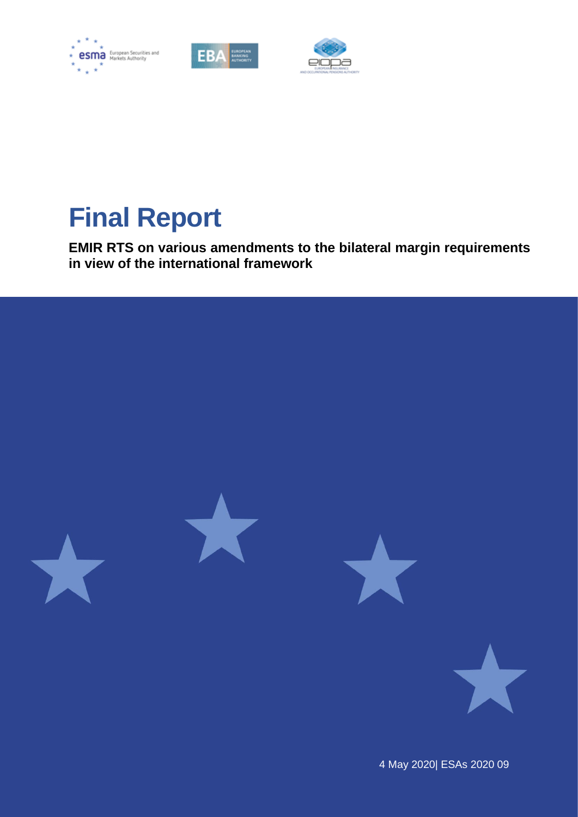





# **Final Report**

**EMIR RTS on various amendments to the bilateral margin requirements in view of the international framework**



4 May 2020| ESAs 2020 09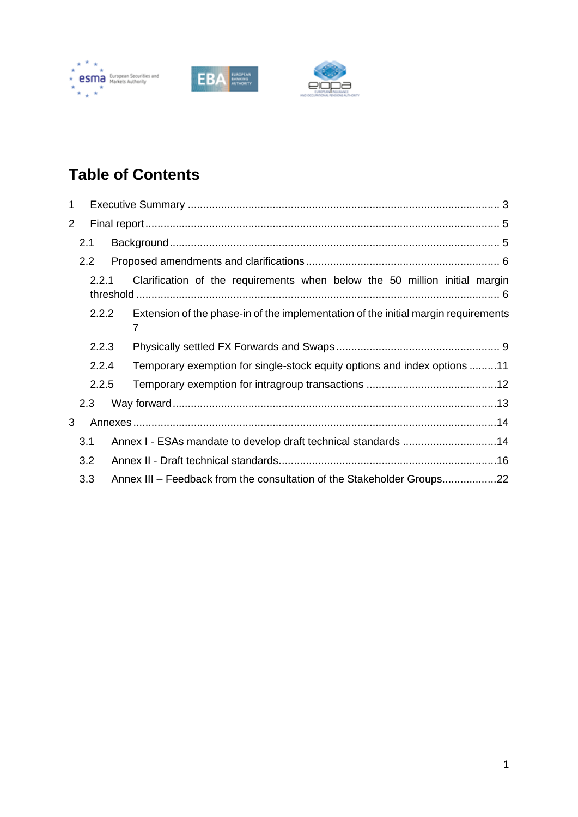





# **Table of Contents**

| 1              |                                                                                     |  |                                                                                         |  |  |
|----------------|-------------------------------------------------------------------------------------|--|-----------------------------------------------------------------------------------------|--|--|
| $\overline{2}$ |                                                                                     |  |                                                                                         |  |  |
| 2.1            |                                                                                     |  |                                                                                         |  |  |
|                | 2.2                                                                                 |  |                                                                                         |  |  |
|                | 2.2.1<br>Clarification of the requirements when below the 50 million initial margin |  |                                                                                         |  |  |
|                | 2.2.2                                                                               |  | Extension of the phase-in of the implementation of the initial margin requirements<br>7 |  |  |
|                | 2.2.3                                                                               |  |                                                                                         |  |  |
|                | 2.2.4                                                                               |  | Temporary exemption for single-stock equity options and index options 11                |  |  |
| 2.2.5          |                                                                                     |  |                                                                                         |  |  |
|                | 2.3                                                                                 |  |                                                                                         |  |  |
| 3              |                                                                                     |  |                                                                                         |  |  |
|                | 3.1                                                                                 |  | Annex I - ESAs mandate to develop draft technical standards 14                          |  |  |
|                | 3.2                                                                                 |  |                                                                                         |  |  |
|                | 3.3                                                                                 |  | Annex III – Feedback from the consultation of the Stakeholder Groups22                  |  |  |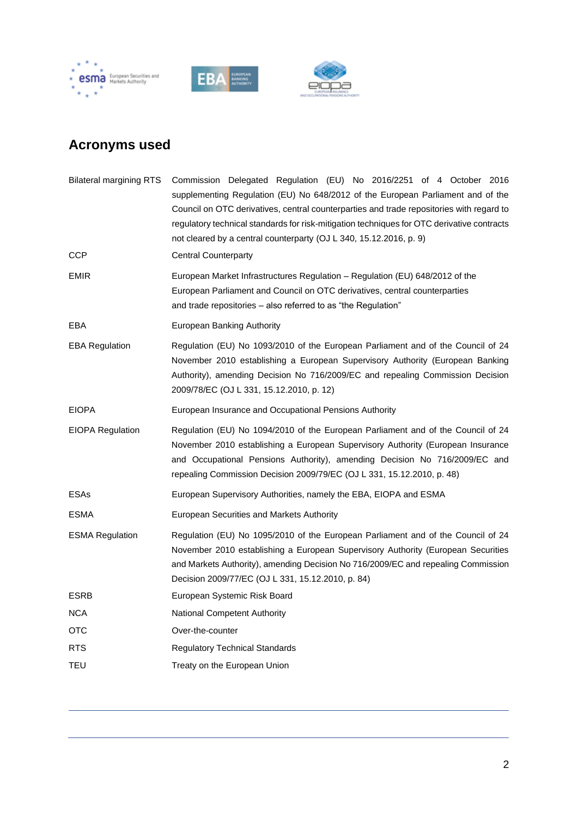





# **Acronyms used**

| <b>Bilateral margining RTS</b> | Commission Delegated Regulation (EU) No 2016/2251 of 4 October 2016<br>supplementing Regulation (EU) No 648/2012 of the European Parliament and of the<br>Council on OTC derivatives, central counterparties and trade repositories with regard to<br>regulatory technical standards for risk-mitigation techniques for OTC derivative contracts<br>not cleared by a central counterparty (OJ L 340, 15.12.2016, p. 9) |
|--------------------------------|------------------------------------------------------------------------------------------------------------------------------------------------------------------------------------------------------------------------------------------------------------------------------------------------------------------------------------------------------------------------------------------------------------------------|
| <b>CCP</b>                     | <b>Central Counterparty</b>                                                                                                                                                                                                                                                                                                                                                                                            |
| EMIR                           | European Market Infrastructures Regulation – Regulation (EU) 648/2012 of the<br>European Parliament and Council on OTC derivatives, central counterparties<br>and trade repositories - also referred to as "the Regulation"                                                                                                                                                                                            |
| EBA                            | European Banking Authority                                                                                                                                                                                                                                                                                                                                                                                             |
| EBA Regulation                 | Regulation (EU) No 1093/2010 of the European Parliament and of the Council of 24<br>November 2010 establishing a European Supervisory Authority (European Banking<br>Authority), amending Decision No 716/2009/EC and repealing Commission Decision<br>2009/78/EC (OJ L 331, 15.12.2010, p. 12)                                                                                                                        |
| EIOPA                          | European Insurance and Occupational Pensions Authority                                                                                                                                                                                                                                                                                                                                                                 |
| EIOPA Regulation               | Regulation (EU) No 1094/2010 of the European Parliament and of the Council of 24<br>November 2010 establishing a European Supervisory Authority (European Insurance<br>and Occupational Pensions Authority), amending Decision No 716/2009/EC and<br>repealing Commission Decision 2009/79/EC (OJ L 331, 15.12.2010, p. 48)                                                                                            |
| ESAs                           | European Supervisory Authorities, namely the EBA, EIOPA and ESMA                                                                                                                                                                                                                                                                                                                                                       |
| ESMA                           | European Securities and Markets Authority                                                                                                                                                                                                                                                                                                                                                                              |
| <b>ESMA Regulation</b>         | Regulation (EU) No 1095/2010 of the European Parliament and of the Council of 24<br>November 2010 establishing a European Supervisory Authority (European Securities<br>and Markets Authority), amending Decision No 716/2009/EC and repealing Commission<br>Decision 2009/77/EC (OJ L 331, 15.12.2010, p. 84)                                                                                                         |
| ESRB                           | European Systemic Risk Board                                                                                                                                                                                                                                                                                                                                                                                           |
| NCA                            | <b>National Competent Authority</b>                                                                                                                                                                                                                                                                                                                                                                                    |
| OTC                            | Over-the-counter                                                                                                                                                                                                                                                                                                                                                                                                       |
| RTS                            | Regulatory Technical Standards                                                                                                                                                                                                                                                                                                                                                                                         |
| TEU                            | Treaty on the European Union                                                                                                                                                                                                                                                                                                                                                                                           |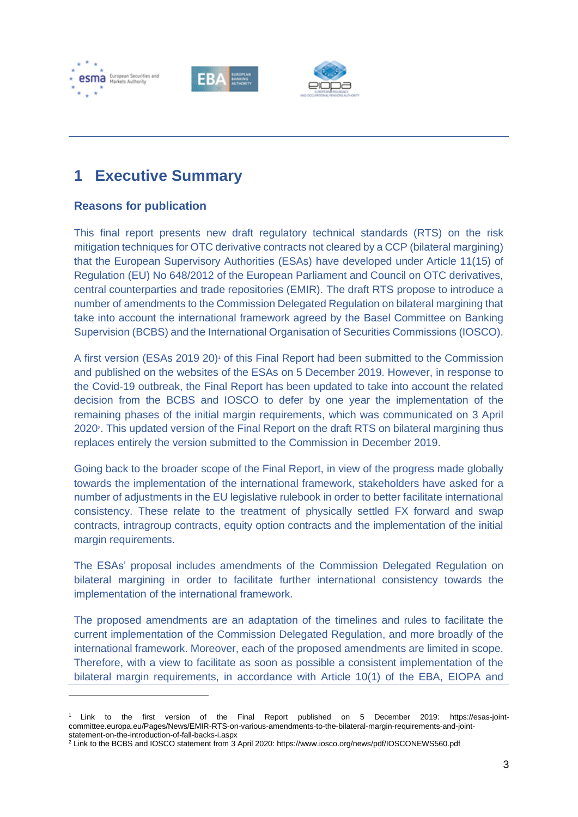





## <span id="page-3-0"></span>**1 Executive Summary**

## **Reasons for publication**

This final report presents new draft regulatory technical standards (RTS) on the risk mitigation techniques for OTC derivative contracts not cleared by a CCP (bilateral margining) that the European Supervisory Authorities (ESAs) have developed under Article 11(15) of Regulation (EU) No 648/2012 of the European Parliament and Council on OTC derivatives, central counterparties and trade repositories (EMIR). The draft RTS propose to introduce a number of amendments to the Commission Delegated Regulation on bilateral margining that take into account the international framework agreed by the Basel Committee on Banking Supervision (BCBS) and the International Organisation of Securities Commissions (IOSCO).

A first version (ESAs 2019 20)<sup>1</sup> of this Final Report had been submitted to the Commission and published on the websites of the ESAs on 5 December 2019. However, in response to the Covid-19 outbreak, the Final Report has been updated to take into account the related decision from the BCBS and IOSCO to defer by one year the implementation of the remaining phases of the initial margin requirements, which was communicated on 3 April 2020<sup>2</sup>. This updated version of the Final Report on the draft RTS on bilateral margining thus replaces entirely the version submitted to the Commission in December 2019.

Going back to the broader scope of the Final Report, in view of the progress made globally towards the implementation of the international framework, stakeholders have asked for a number of adjustments in the EU legislative rulebook in order to better facilitate international consistency. These relate to the treatment of physically settled FX forward and swap contracts, intragroup contracts, equity option contracts and the implementation of the initial margin requirements.

The ESAs' proposal includes amendments of the Commission Delegated Regulation on bilateral margining in order to facilitate further international consistency towards the implementation of the international framework.

The proposed amendments are an adaptation of the timelines and rules to facilitate the current implementation of the Commission Delegated Regulation, and more broadly of the international framework. Moreover, each of the proposed amendments are limited in scope. Therefore, with a view to facilitate as soon as possible a consistent implementation of the bilateral margin requirements, in accordance with Article 10(1) of the EBA, EIOPA and

<sup>1</sup> Link to the first version of the Final Report published on 5 December 2019: https://esas-jointcommittee.europa.eu/Pages/News/EMIR-RTS-on-various-amendments-to-the-bilateral-margin-requirements-and-jointstatement-on-the-introduction-of-fall-backs-i.aspx

<sup>2</sup> Link to the BCBS and IOSCO statement from 3 April 2020: https://www.iosco.org/news/pdf/IOSCONEWS560.pdf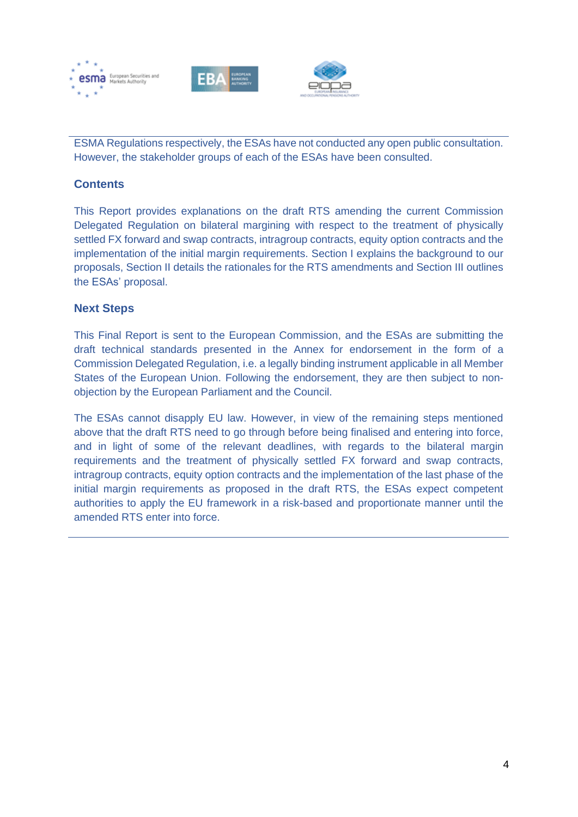





ESMA Regulations respectively, the ESAs have not conducted any open public consultation. However, the stakeholder groups of each of the ESAs have been consulted.

## **Contents**

This Report provides explanations on the draft RTS amending the current Commission Delegated Regulation on bilateral margining with respect to the treatment of physically settled FX forward and swap contracts, intragroup contracts, equity option contracts and the implementation of the initial margin requirements. Section I explains the background to our proposals, Section II details the rationales for the RTS amendments and Section III outlines the ESAs' proposal.

## **Next Steps**

This Final Report is sent to the European Commission, and the ESAs are submitting the draft technical standards presented in the Annex for endorsement in the form of a Commission Delegated Regulation, i.e. a legally binding instrument applicable in all Member States of the European Union. Following the endorsement, they are then subject to nonobjection by the European Parliament and the Council.

The ESAs cannot disapply EU law. However, in view of the remaining steps mentioned above that the draft RTS need to go through before being finalised and entering into force, and in light of some of the relevant deadlines, with regards to the bilateral margin requirements and the treatment of physically settled FX forward and swap contracts, intragroup contracts, equity option contracts and the implementation of the last phase of the initial margin requirements as proposed in the draft RTS, the ESAs expect competent authorities to apply the EU framework in a risk-based and proportionate manner until the amended RTS enter into force.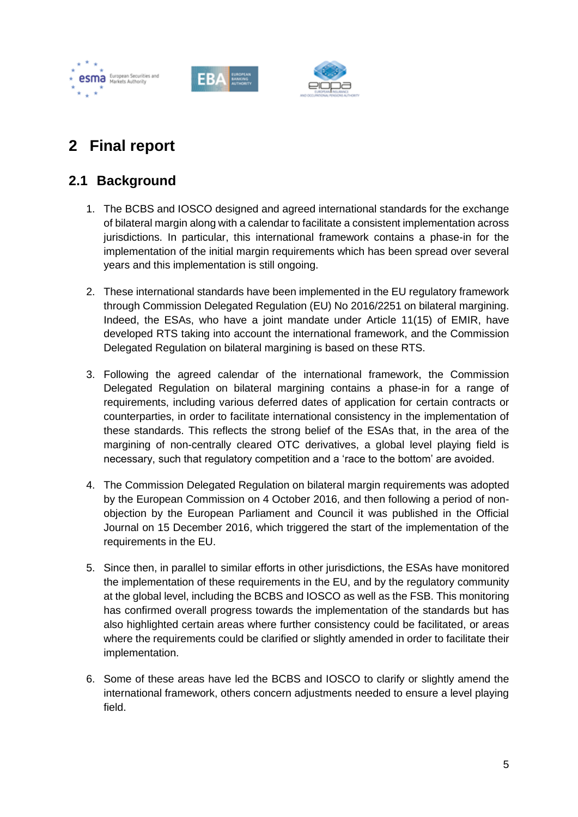





# <span id="page-5-0"></span>**2 Final report**

## <span id="page-5-1"></span>**2.1 Background**

- 1. The BCBS and IOSCO designed and agreed international standards for the exchange of bilateral margin along with a calendar to facilitate a consistent implementation across jurisdictions. In particular, this international framework contains a phase-in for the implementation of the initial margin requirements which has been spread over several years and this implementation is still ongoing.
- 2. These international standards have been implemented in the EU regulatory framework through Commission Delegated Regulation (EU) No 2016/2251 on bilateral margining. Indeed, the ESAs, who have a joint mandate under Article 11(15) of EMIR, have developed RTS taking into account the international framework, and the Commission Delegated Regulation on bilateral margining is based on these RTS.
- 3. Following the agreed calendar of the international framework, the Commission Delegated Regulation on bilateral margining contains a phase-in for a range of requirements, including various deferred dates of application for certain contracts or counterparties, in order to facilitate international consistency in the implementation of these standards. This reflects the strong belief of the ESAs that, in the area of the margining of non-centrally cleared OTC derivatives, a global level playing field is necessary, such that regulatory competition and a 'race to the bottom' are avoided.
- 4. The Commission Delegated Regulation on bilateral margin requirements was adopted by the European Commission on 4 October 2016, and then following a period of nonobjection by the European Parliament and Council it was published in the Official Journal on 15 December 2016, which triggered the start of the implementation of the requirements in the EU.
- 5. Since then, in parallel to similar efforts in other jurisdictions, the ESAs have monitored the implementation of these requirements in the EU, and by the regulatory community at the global level, including the BCBS and IOSCO as well as the FSB. This monitoring has confirmed overall progress towards the implementation of the standards but has also highlighted certain areas where further consistency could be facilitated, or areas where the requirements could be clarified or slightly amended in order to facilitate their implementation.
- 6. Some of these areas have led the BCBS and IOSCO to clarify or slightly amend the international framework, others concern adjustments needed to ensure a level playing field.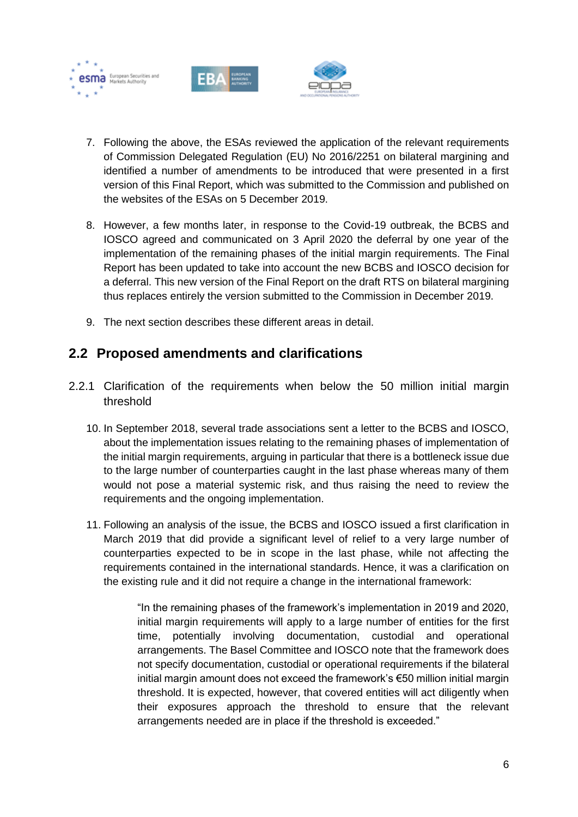





- 7. Following the above, the ESAs reviewed the application of the relevant requirements of Commission Delegated Regulation (EU) No 2016/2251 on bilateral margining and identified a number of amendments to be introduced that were presented in a first version of this Final Report, which was submitted to the Commission and published on the websites of the ESAs on 5 December 2019.
- 8. However, a few months later, in response to the Covid-19 outbreak, the BCBS and IOSCO agreed and communicated on 3 April 2020 the deferral by one year of the implementation of the remaining phases of the initial margin requirements. The Final Report has been updated to take into account the new BCBS and IOSCO decision for a deferral. This new version of the Final Report on the draft RTS on bilateral margining thus replaces entirely the version submitted to the Commission in December 2019.
- 9. The next section describes these different areas in detail.

## <span id="page-6-0"></span>**2.2 Proposed amendments and clarifications**

- <span id="page-6-1"></span>2.2.1 Clarification of the requirements when below the 50 million initial margin threshold
	- 10. In September 2018, several trade associations sent a letter to the BCBS and IOSCO, about the implementation issues relating to the remaining phases of implementation of the initial margin requirements, arguing in particular that there is a bottleneck issue due to the large number of counterparties caught in the last phase whereas many of them would not pose a material systemic risk, and thus raising the need to review the requirements and the ongoing implementation.
	- 11. Following an analysis of the issue, the BCBS and IOSCO issued a first clarification in March 2019 that did provide a significant level of relief to a very large number of counterparties expected to be in scope in the last phase, while not affecting the requirements contained in the international standards. Hence, it was a clarification on the existing rule and it did not require a change in the international framework:

"In the remaining phases of the framework's implementation in 2019 and 2020, initial margin requirements will apply to a large number of entities for the first time, potentially involving documentation, custodial and operational arrangements. The Basel Committee and IOSCO note that the framework does not specify documentation, custodial or operational requirements if the bilateral initial margin amount does not exceed the framework's €50 million initial margin threshold. It is expected, however, that covered entities will act diligently when their exposures approach the threshold to ensure that the relevant arrangements needed are in place if the threshold is exceeded."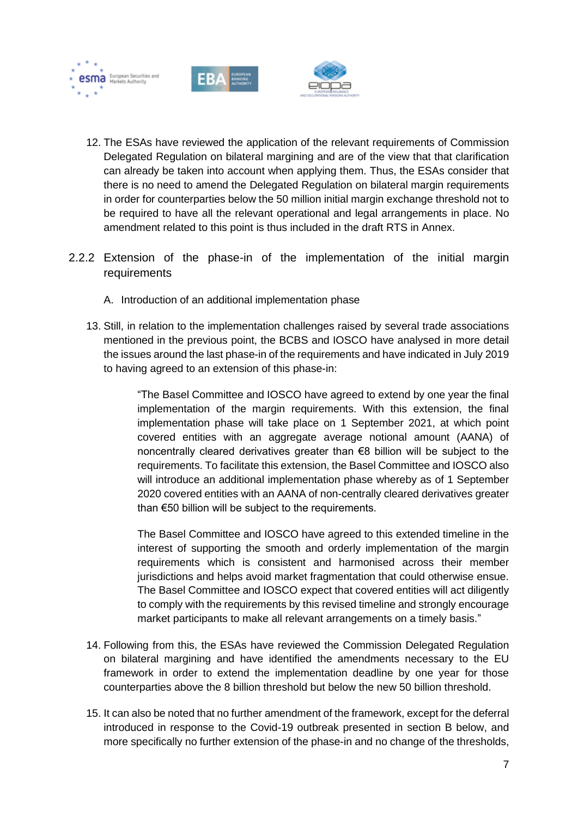





- 12. The ESAs have reviewed the application of the relevant requirements of Commission Delegated Regulation on bilateral margining and are of the view that that clarification can already be taken into account when applying them. Thus, the ESAs consider that there is no need to amend the Delegated Regulation on bilateral margin requirements in order for counterparties below the 50 million initial margin exchange threshold not to be required to have all the relevant operational and legal arrangements in place. No amendment related to this point is thus included in the draft RTS in Annex.
- <span id="page-7-0"></span>2.2.2 Extension of the phase-in of the implementation of the initial margin requirements
	- A. Introduction of an additional implementation phase
	- 13. Still, in relation to the implementation challenges raised by several trade associations mentioned in the previous point, the BCBS and IOSCO have analysed in more detail the issues around the last phase-in of the requirements and have indicated in July 2019 to having agreed to an extension of this phase-in:

"The Basel Committee and IOSCO have agreed to extend by one year the final implementation of the margin requirements. With this extension, the final implementation phase will take place on 1 September 2021, at which point covered entities with an aggregate average notional amount (AANA) of noncentrally cleared derivatives greater than €8 billion will be subject to the requirements. To facilitate this extension, the Basel Committee and IOSCO also will introduce an additional implementation phase whereby as of 1 September 2020 covered entities with an AANA of non-centrally cleared derivatives greater than €50 billion will be subject to the requirements.

The Basel Committee and IOSCO have agreed to this extended timeline in the interest of supporting the smooth and orderly implementation of the margin requirements which is consistent and harmonised across their member jurisdictions and helps avoid market fragmentation that could otherwise ensue. The Basel Committee and IOSCO expect that covered entities will act diligently to comply with the requirements by this revised timeline and strongly encourage market participants to make all relevant arrangements on a timely basis."

- 14. Following from this, the ESAs have reviewed the Commission Delegated Regulation on bilateral margining and have identified the amendments necessary to the EU framework in order to extend the implementation deadline by one year for those counterparties above the 8 billion threshold but below the new 50 billion threshold.
- 15. It can also be noted that no further amendment of the framework, except for the deferral introduced in response to the Covid-19 outbreak presented in section B below, and more specifically no further extension of the phase-in and no change of the thresholds,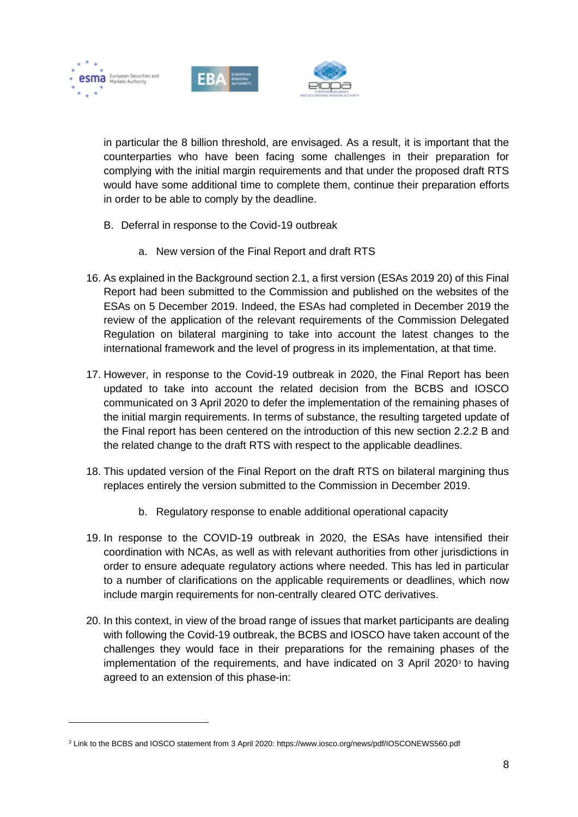





in particular the 8 billion threshold, are envisaged. As a result, it is important that the counterparties who have been facing some challenges in their preparation for complying with the initial margin requirements and that under the proposed draft RTS would have some additional time to complete them, continue their preparation efforts in order to be able to comply by the deadline.

- B. Deferral in response to the Covid-19 outbreak
	- a. New version of the Final Report and draft RTS
- 16. As explained in the Background section 2.1, a first version (ESAs 2019 20) of this Final Report had been submitted to the Commission and published on the websites of the ESAs on 5 December 2019. Indeed, the ESAs had completed in December 2019 the review of the application of the relevant requirements of the Commission Delegated Regulation on bilateral margining to take into account the latest changes to the international framework and the level of progress in its implementation, at that time.
- 17. However, in response to the Covid-19 outbreak in 2020, the Final Report has been updated to take into account the related decision from the BCBS and IOSCO communicated on 3 April 2020 to defer the implementation of the remaining phases of the initial margin requirements. In terms of substance, the resulting targeted update of the Final report has been centered on the introduction of this new section 2.2.2 B and the related change to the draft RTS with respect to the applicable deadlines.
- 18. This updated version of the Final Report on the draft RTS on bilateral margining thus replaces entirely the version submitted to the Commission in December 2019.
	- b. Regulatory response to enable additional operational capacity
- 19. In response to the COVID-19 outbreak in 2020, the ESAs have intensified their coordination with NCAs, as well as with relevant authorities from other jurisdictions in order to ensure adequate regulatory actions where needed. This has led in particular to a number of clarifications on the applicable requirements or deadlines, which now include margin requirements for non-centrally cleared OTC derivatives.
- 20. In this context, in view of the broad range of issues that market participants are dealing with following the Covid-19 outbreak, the BCBS and IOSCO have taken account of the challenges they would face in their preparations for the remaining phases of the implementation of the requirements, and have indicated on 3 April 2020 $\delta$  to having agreed to an extension of this phase-in:

<sup>3</sup> Link to the BCBS and IOSCO statement from 3 April 2020: https://www.iosco.org/news/pdf/IOSCONEWS560.pdf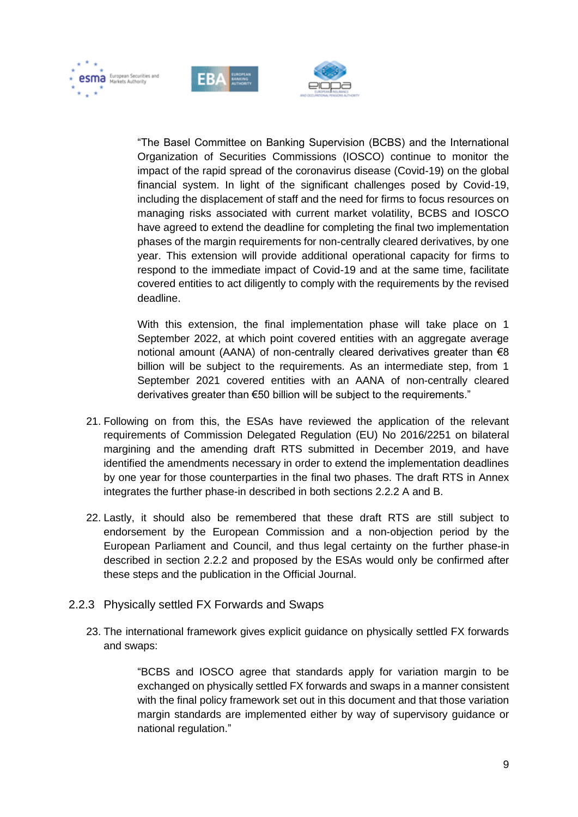





"The Basel Committee on Banking Supervision (BCBS) and the International Organization of Securities Commissions (IOSCO) continue to monitor the impact of the rapid spread of the coronavirus disease (Covid-19) on the global financial system. In light of the significant challenges posed by Covid-19, including the displacement of staff and the need for firms to focus resources on managing risks associated with current market volatility, BCBS and IOSCO have agreed to extend the deadline for completing the final two implementation phases of the margin requirements for non-centrally cleared derivatives, by one year. This extension will provide additional operational capacity for firms to respond to the immediate impact of Covid-19 and at the same time, facilitate covered entities to act diligently to comply with the requirements by the revised deadline.

With this extension, the final implementation phase will take place on 1 September 2022, at which point covered entities with an aggregate average notional amount (AANA) of non-centrally cleared derivatives greater than  $\epsilon$ 8 billion will be subject to the requirements. As an intermediate step, from 1 September 2021 covered entities with an AANA of non-centrally cleared derivatives greater than €50 billion will be subject to the requirements."

- 21. Following on from this, the ESAs have reviewed the application of the relevant requirements of Commission Delegated Regulation (EU) No 2016/2251 on bilateral margining and the amending draft RTS submitted in December 2019, and have identified the amendments necessary in order to extend the implementation deadlines by one year for those counterparties in the final two phases. The draft RTS in Annex integrates the further phase-in described in both sections 2.2.2 A and B.
- 22. Lastly, it should also be remembered that these draft RTS are still subject to endorsement by the European Commission and a non-objection period by the European Parliament and Council, and thus legal certainty on the further phase-in described in section 2.2.2 and proposed by the ESAs would only be confirmed after these steps and the publication in the Official Journal.
- <span id="page-9-0"></span>2.2.3 Physically settled FX Forwards and Swaps
	- 23. The international framework gives explicit guidance on physically settled FX forwards and swaps:

"BCBS and IOSCO agree that standards apply for variation margin to be exchanged on physically settled FX forwards and swaps in a manner consistent with the final policy framework set out in this document and that those variation margin standards are implemented either by way of supervisory guidance or national regulation."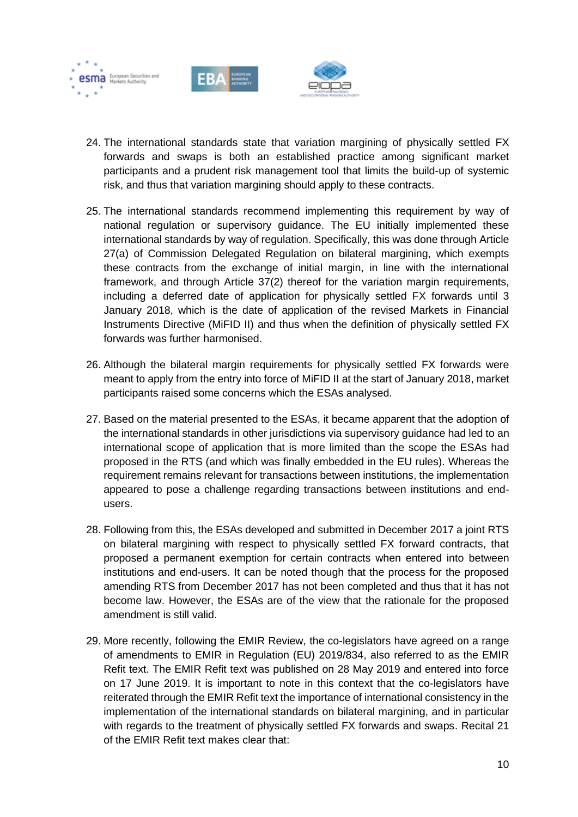





- 24. The international standards state that variation margining of physically settled FX forwards and swaps is both an established practice among significant market participants and a prudent risk management tool that limits the build-up of systemic risk, and thus that variation margining should apply to these contracts.
- 25. The international standards recommend implementing this requirement by way of national regulation or supervisory guidance. The EU initially implemented these international standards by way of regulation. Specifically, this was done through Article 27(a) of Commission Delegated Regulation on bilateral margining, which exempts these contracts from the exchange of initial margin, in line with the international framework, and through Article 37(2) thereof for the variation margin requirements, including a deferred date of application for physically settled FX forwards until 3 January 2018, which is the date of application of the revised Markets in Financial Instruments Directive (MiFID II) and thus when the definition of physically settled FX forwards was further harmonised.
- 26. Although the bilateral margin requirements for physically settled FX forwards were meant to apply from the entry into force of MiFID II at the start of January 2018, market participants raised some concerns which the ESAs analysed.
- 27. Based on the material presented to the ESAs, it became apparent that the adoption of the international standards in other jurisdictions via supervisory guidance had led to an international scope of application that is more limited than the scope the ESAs had proposed in the RTS (and which was finally embedded in the EU rules). Whereas the requirement remains relevant for transactions between institutions, the implementation appeared to pose a challenge regarding transactions between institutions and endusers.
- 28. Following from this, the ESAs developed and submitted in December 2017 a joint RTS on bilateral margining with respect to physically settled FX forward contracts, that proposed a permanent exemption for certain contracts when entered into between institutions and end-users. It can be noted though that the process for the proposed amending RTS from December 2017 has not been completed and thus that it has not become law. However, the ESAs are of the view that the rationale for the proposed amendment is still valid.
- 29. More recently, following the EMIR Review, the co-legislators have agreed on a range of amendments to EMIR in Regulation (EU) 2019/834, also referred to as the EMIR Refit text. The EMIR Refit text was published on 28 May 2019 and entered into force on 17 June 2019. It is important to note in this context that the co-legislators have reiterated through the EMIR Refit text the importance of international consistency in the implementation of the international standards on bilateral margining, and in particular with regards to the treatment of physically settled FX forwards and swaps. Recital 21 of the EMIR Refit text makes clear that: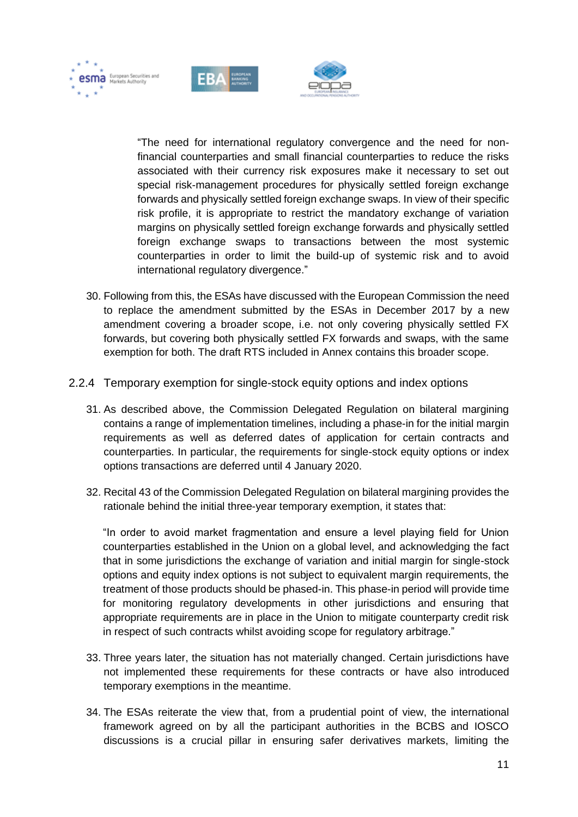





"The need for international regulatory convergence and the need for nonfinancial counterparties and small financial counterparties to reduce the risks associated with their currency risk exposures make it necessary to set out special risk-management procedures for physically settled foreign exchange forwards and physically settled foreign exchange swaps. In view of their specific risk profile, it is appropriate to restrict the mandatory exchange of variation margins on physically settled foreign exchange forwards and physically settled foreign exchange swaps to transactions between the most systemic counterparties in order to limit the build-up of systemic risk and to avoid international regulatory divergence."

- 30. Following from this, the ESAs have discussed with the European Commission the need to replace the amendment submitted by the ESAs in December 2017 by a new amendment covering a broader scope, i.e. not only covering physically settled FX forwards, but covering both physically settled FX forwards and swaps, with the same exemption for both. The draft RTS included in Annex contains this broader scope.
- <span id="page-11-0"></span>2.2.4 Temporary exemption for single-stock equity options and index options
	- 31. As described above, the Commission Delegated Regulation on bilateral margining contains a range of implementation timelines, including a phase-in for the initial margin requirements as well as deferred dates of application for certain contracts and counterparties. In particular, the requirements for single-stock equity options or index options transactions are deferred until 4 January 2020.
	- 32. Recital 43 of the Commission Delegated Regulation on bilateral margining provides the rationale behind the initial three-year temporary exemption, it states that:

"In order to avoid market fragmentation and ensure a level playing field for Union counterparties established in the Union on a global level, and acknowledging the fact that in some jurisdictions the exchange of variation and initial margin for single-stock options and equity index options is not subject to equivalent margin requirements, the treatment of those products should be phased-in. This phase-in period will provide time for monitoring regulatory developments in other jurisdictions and ensuring that appropriate requirements are in place in the Union to mitigate counterparty credit risk in respect of such contracts whilst avoiding scope for regulatory arbitrage."

- 33. Three years later, the situation has not materially changed. Certain jurisdictions have not implemented these requirements for these contracts or have also introduced temporary exemptions in the meantime.
- 34. The ESAs reiterate the view that, from a prudential point of view, the international framework agreed on by all the participant authorities in the BCBS and IOSCO discussions is a crucial pillar in ensuring safer derivatives markets, limiting the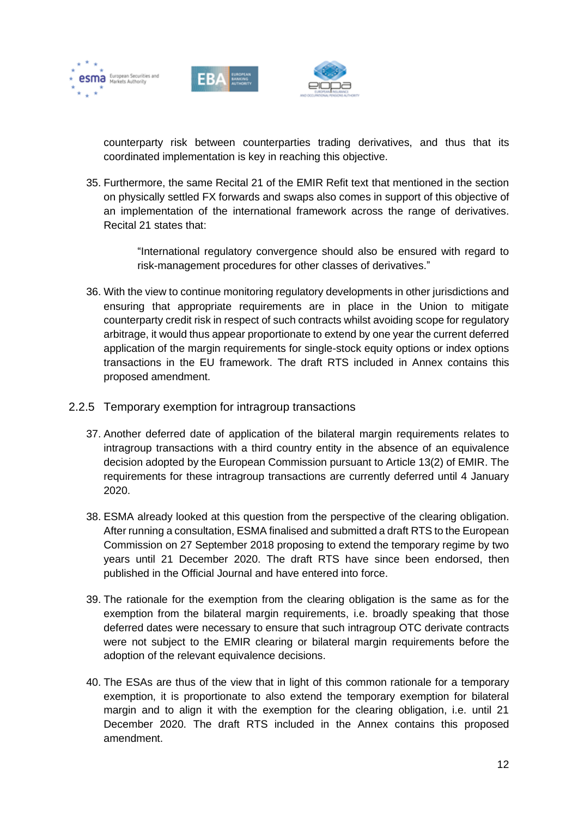





counterparty risk between counterparties trading derivatives, and thus that its coordinated implementation is key in reaching this objective.

35. Furthermore, the same Recital 21 of the EMIR Refit text that mentioned in the section on physically settled FX forwards and swaps also comes in support of this objective of an implementation of the international framework across the range of derivatives. Recital 21 states that:

> "International regulatory convergence should also be ensured with regard to risk-management procedures for other classes of derivatives."

- 36. With the view to continue monitoring regulatory developments in other jurisdictions and ensuring that appropriate requirements are in place in the Union to mitigate counterparty credit risk in respect of such contracts whilst avoiding scope for regulatory arbitrage, it would thus appear proportionate to extend by one year the current deferred application of the margin requirements for single-stock equity options or index options transactions in the EU framework. The draft RTS included in Annex contains this proposed amendment.
- <span id="page-12-0"></span>2.2.5 Temporary exemption for intragroup transactions
	- 37. Another deferred date of application of the bilateral margin requirements relates to intragroup transactions with a third country entity in the absence of an equivalence decision adopted by the European Commission pursuant to Article 13(2) of EMIR. The requirements for these intragroup transactions are currently deferred until 4 January 2020.
	- 38. ESMA already looked at this question from the perspective of the clearing obligation. After running a consultation, ESMA finalised and submitted a draft RTS to the European Commission on 27 September 2018 proposing to extend the temporary regime by two years until 21 December 2020. The draft RTS have since been endorsed, then published in the Official Journal and have entered into force.
	- 39. The rationale for the exemption from the clearing obligation is the same as for the exemption from the bilateral margin requirements, i.e. broadly speaking that those deferred dates were necessary to ensure that such intragroup OTC derivate contracts were not subject to the EMIR clearing or bilateral margin requirements before the adoption of the relevant equivalence decisions.
	- 40. The ESAs are thus of the view that in light of this common rationale for a temporary exemption, it is proportionate to also extend the temporary exemption for bilateral margin and to align it with the exemption for the clearing obligation, i.e. until 21 December 2020. The draft RTS included in the Annex contains this proposed amendment.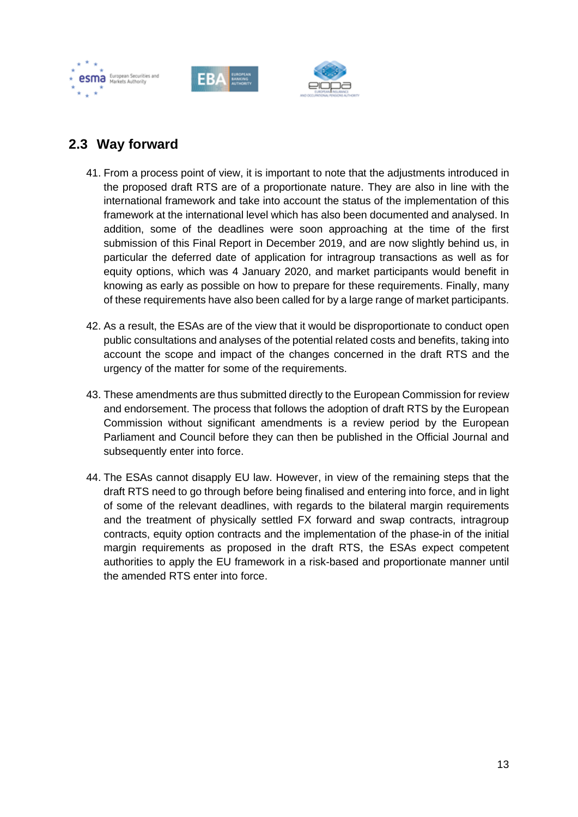





## <span id="page-13-0"></span>**2.3 Way forward**

- 41. From a process point of view, it is important to note that the adjustments introduced in the proposed draft RTS are of a proportionate nature. They are also in line with the international framework and take into account the status of the implementation of this framework at the international level which has also been documented and analysed. In addition, some of the deadlines were soon approaching at the time of the first submission of this Final Report in December 2019, and are now slightly behind us, in particular the deferred date of application for intragroup transactions as well as for equity options, which was 4 January 2020, and market participants would benefit in knowing as early as possible on how to prepare for these requirements. Finally, many of these requirements have also been called for by a large range of market participants.
- 42. As a result, the ESAs are of the view that it would be disproportionate to conduct open public consultations and analyses of the potential related costs and benefits, taking into account the scope and impact of the changes concerned in the draft RTS and the urgency of the matter for some of the requirements.
- 43. These amendments are thus submitted directly to the European Commission for review and endorsement. The process that follows the adoption of draft RTS by the European Commission without significant amendments is a review period by the European Parliament and Council before they can then be published in the Official Journal and subsequently enter into force.
- 44. The ESAs cannot disapply EU law. However, in view of the remaining steps that the draft RTS need to go through before being finalised and entering into force, and in light of some of the relevant deadlines, with regards to the bilateral margin requirements and the treatment of physically settled FX forward and swap contracts, intragroup contracts, equity option contracts and the implementation of the phase-in of the initial margin requirements as proposed in the draft RTS, the ESAs expect competent authorities to apply the EU framework in a risk-based and proportionate manner until the amended RTS enter into force.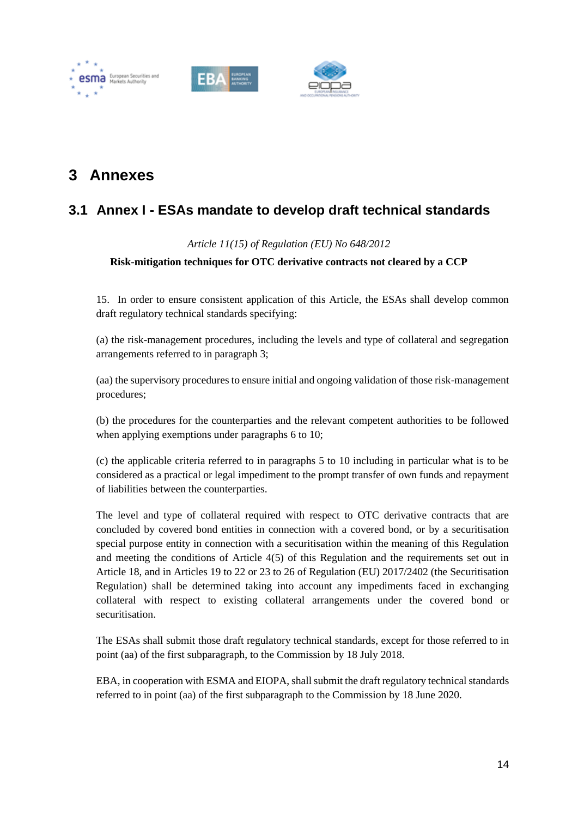





# <span id="page-14-0"></span>**3 Annexes**

## <span id="page-14-1"></span>**3.1 Annex I - ESAs mandate to develop draft technical standards**

### *Article 11(15) of Regulation (EU) No 648/2012*

### **Risk-mitigation techniques for OTC derivative contracts not cleared by a CCP**

15. In order to ensure consistent application of this Article, the ESAs shall develop common draft regulatory technical standards specifying:

(a) the risk-management procedures, including the levels and type of collateral and segregation arrangements referred to in paragraph 3;

(aa) the supervisory procedures to ensure initial and ongoing validation of those risk-management procedures;

(b) the procedures for the counterparties and the relevant competent authorities to be followed when applying exemptions under paragraphs 6 to 10;

(c) the applicable criteria referred to in paragraphs 5 to 10 including in particular what is to be considered as a practical or legal impediment to the prompt transfer of own funds and repayment of liabilities between the counterparties.

The level and type of collateral required with respect to OTC derivative contracts that are concluded by covered bond entities in connection with a covered bond, or by a securitisation special purpose entity in connection with a securitisation within the meaning of this Regulation and meeting the conditions of Article 4(5) of this Regulation and the requirements set out in Article 18, and in Articles 19 to 22 or 23 to 26 of Regulation (EU) 2017/2402 (the Securitisation Regulation) shall be determined taking into account any impediments faced in exchanging collateral with respect to existing collateral arrangements under the covered bond or securitisation.

The ESAs shall submit those draft regulatory technical standards, except for those referred to in point (aa) of the first subparagraph, to the Commission by 18 July 2018.

EBA, in cooperation with ESMA and EIOPA, shall submit the draft regulatory technical standards referred to in point (aa) of the first subparagraph to the Commission by 18 June 2020.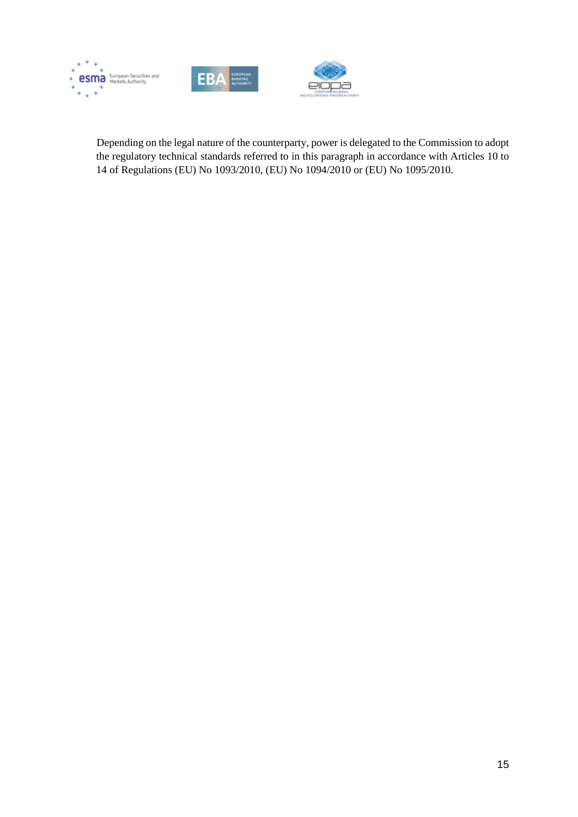





Depending on the legal nature of the counterparty, power is delegated to the Commission to adopt the regulatory technical standards referred to in this paragraph in accordance with Articles 10 to 14 of Regulations (EU) No 1093/2010, (EU) No 1094/2010 or (EU) No 1095/2010.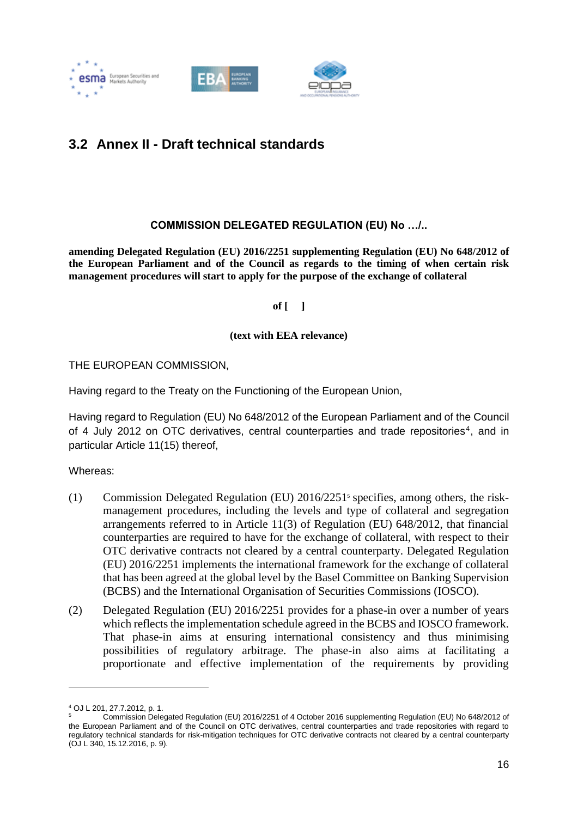



## <span id="page-16-0"></span>**3.2 Annex II - Draft technical standards**

### **COMMISSION DELEGATED REGULATION (EU) No …/..**

**amending Delegated Regulation (EU) 2016/2251 supplementing Regulation (EU) No 648/2012 of the European Parliament and of the Council as regards to the timing of when certain risk management procedures will start to apply for the purpose of the exchange of collateral**

**of [ ]**

#### **(text with EEA relevance)**

THE EUROPEAN COMMISSION,

Having regard to the Treaty on the Functioning of the European Union,

Having regard to Regulation (EU) No 648/2012 of the European Parliament and of the Council of 4 July 2012 on OTC derivatives, central counterparties and trade repositories<sup>4</sup>, and in particular Article 11(15) thereof,

Whereas:

- (1) Commission Delegated Regulation (EU) 2016/2251<sup>5</sup> specifies, among others, the riskmanagement procedures, including the levels and type of collateral and segregation arrangements referred to in Article 11(3) of Regulation (EU) 648/2012, that financial counterparties are required to have for the exchange of collateral, with respect to their OTC derivative contracts not cleared by a central counterparty. Delegated Regulation (EU) 2016/2251 implements the international framework for the exchange of collateral that has been agreed at the global level by the Basel Committee on Banking Supervision (BCBS) and the International Organisation of Securities Commissions (IOSCO).
- (2) Delegated Regulation (EU) 2016/2251 provides for a phase-in over a number of years which reflects the implementation schedule agreed in the BCBS and IOSCO framework. That phase-in aims at ensuring international consistency and thus minimising possibilities of regulatory arbitrage. The phase-in also aims at facilitating a proportionate and effective implementation of the requirements by providing

<sup>4</sup> OJ L 201, 27.7.2012, p. 1.

<sup>5</sup> Commission Delegated Regulation (EU) 2016/2251 of 4 October 2016 supplementing Regulation (EU) No 648/2012 of the European Parliament and of the Council on OTC derivatives, central counterparties and trade repositories with regard to regulatory technical standards for risk-mitigation techniques for OTC derivative contracts not cleared by a central counterparty (OJ L 340, 15.12.2016, p. 9).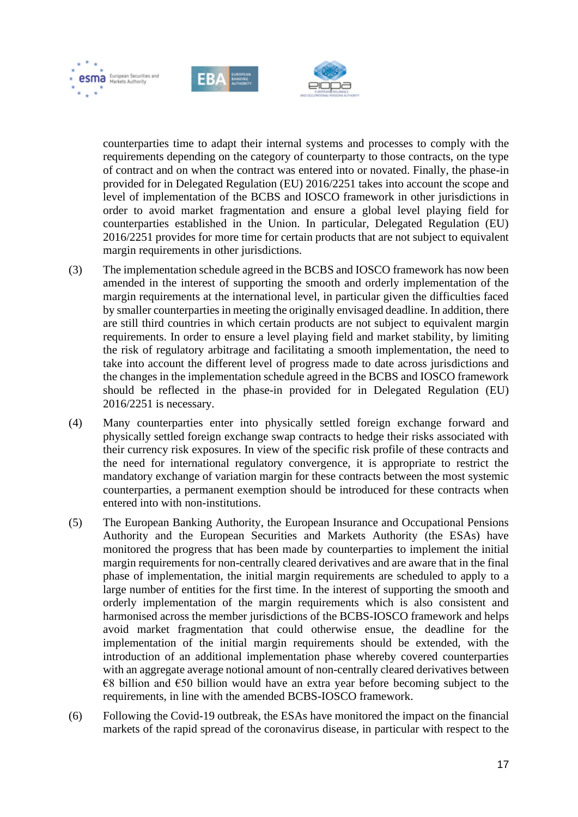





counterparties time to adapt their internal systems and processes to comply with the requirements depending on the category of counterparty to those contracts, on the type of contract and on when the contract was entered into or novated. Finally, the phase-in provided for in Delegated Regulation (EU) 2016/2251 takes into account the scope and level of implementation of the BCBS and IOSCO framework in other jurisdictions in order to avoid market fragmentation and ensure a global level playing field for counterparties established in the Union. In particular, Delegated Regulation (EU) 2016/2251 provides for more time for certain products that are not subject to equivalent margin requirements in other jurisdictions.

- (3) The implementation schedule agreed in the BCBS and IOSCO framework has now been amended in the interest of supporting the smooth and orderly implementation of the margin requirements at the international level, in particular given the difficulties faced by smaller counterparties in meeting the originally envisaged deadline. In addition, there are still third countries in which certain products are not subject to equivalent margin requirements. In order to ensure a level playing field and market stability, by limiting the risk of regulatory arbitrage and facilitating a smooth implementation, the need to take into account the different level of progress made to date across jurisdictions and the changes in the implementation schedule agreed in the BCBS and IOSCO framework should be reflected in the phase-in provided for in Delegated Regulation (EU) 2016/2251 is necessary.
- (4) Many counterparties enter into physically settled foreign exchange forward and physically settled foreign exchange swap contracts to hedge their risks associated with their currency risk exposures. In view of the specific risk profile of these contracts and the need for international regulatory convergence, it is appropriate to restrict the mandatory exchange of variation margin for these contracts between the most systemic counterparties, a permanent exemption should be introduced for these contracts when entered into with non-institutions.
- (5) The European Banking Authority, the European Insurance and Occupational Pensions Authority and the European Securities and Markets Authority (the ESAs) have monitored the progress that has been made by counterparties to implement the initial margin requirements for non-centrally cleared derivatives and are aware that in the final phase of implementation, the initial margin requirements are scheduled to apply to a large number of entities for the first time. In the interest of supporting the smooth and orderly implementation of the margin requirements which is also consistent and harmonised across the member jurisdictions of the BCBS-IOSCO framework and helps avoid market fragmentation that could otherwise ensue, the deadline for the implementation of the initial margin requirements should be extended, with the introduction of an additional implementation phase whereby covered counterparties with an aggregate average notional amount of non-centrally cleared derivatives between  $€8$  billion and  $€50$  billion would have an extra year before becoming subject to the requirements, in line with the amended BCBS-IOSCO framework.
- (6) Following the Covid-19 outbreak, the ESAs have monitored the impact on the financial markets of the rapid spread of the coronavirus disease, in particular with respect to the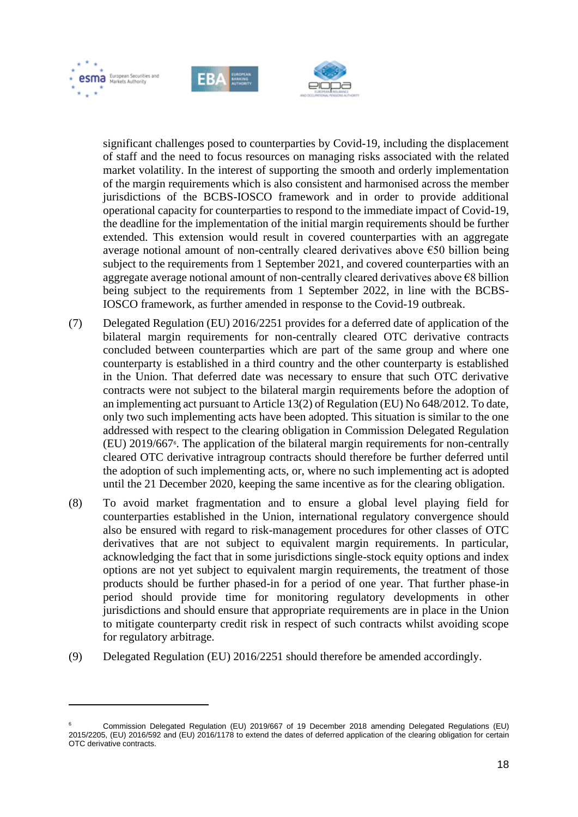





significant challenges posed to counterparties by Covid-19, including the displacement of staff and the need to focus resources on managing risks associated with the related market volatility. In the interest of supporting the smooth and orderly implementation of the margin requirements which is also consistent and harmonised across the member jurisdictions of the BCBS-IOSCO framework and in order to provide additional operational capacity for counterparties to respond to the immediate impact of Covid-19, the deadline for the implementation of the initial margin requirements should be further extended. This extension would result in covered counterparties with an aggregate average notional amount of non-centrally cleared derivatives above  $\epsilon$ 50 billion being subject to the requirements from 1 September 2021, and covered counterparties with an aggregate average notional amount of non-centrally cleared derivatives above €8 billion being subject to the requirements from 1 September 2022, in line with the BCBS-IOSCO framework, as further amended in response to the Covid-19 outbreak.

- (7) Delegated Regulation (EU) 2016/2251 provides for a deferred date of application of the bilateral margin requirements for non-centrally cleared OTC derivative contracts concluded between counterparties which are part of the same group and where one counterparty is established in a third country and the other counterparty is established in the Union. That deferred date was necessary to ensure that such OTC derivative contracts were not subject to the bilateral margin requirements before the adoption of an implementing act pursuant to Article 13(2) of Regulation (EU) No 648/2012. To date, only two such implementing acts have been adopted. This situation is similar to the one addressed with respect to the clearing obligation in Commission Delegated Regulation (EU) 2019/667<sup>6</sup> . The application of the bilateral margin requirements for non-centrally cleared OTC derivative intragroup contracts should therefore be further deferred until the adoption of such implementing acts, or, where no such implementing act is adopted until the 21 December 2020, keeping the same incentive as for the clearing obligation.
- (8) To avoid market fragmentation and to ensure a global level playing field for counterparties established in the Union, international regulatory convergence should also be ensured with regard to risk-management procedures for other classes of OTC derivatives that are not subject to equivalent margin requirements. In particular, acknowledging the fact that in some jurisdictions single-stock equity options and index options are not yet subject to equivalent margin requirements, the treatment of those products should be further phased-in for a period of one year. That further phase-in period should provide time for monitoring regulatory developments in other jurisdictions and should ensure that appropriate requirements are in place in the Union to mitigate counterparty credit risk in respect of such contracts whilst avoiding scope for regulatory arbitrage.
- (9) Delegated Regulation (EU) 2016/2251 should therefore be amended accordingly.

<sup>6</sup> Commission Delegated Regulation (EU) 2019/667 of 19 December 2018 amending Delegated Regulations (EU) 2015/2205, (EU) 2016/592 and (EU) 2016/1178 to extend the dates of deferred application of the clearing obligation for certain OTC derivative contracts.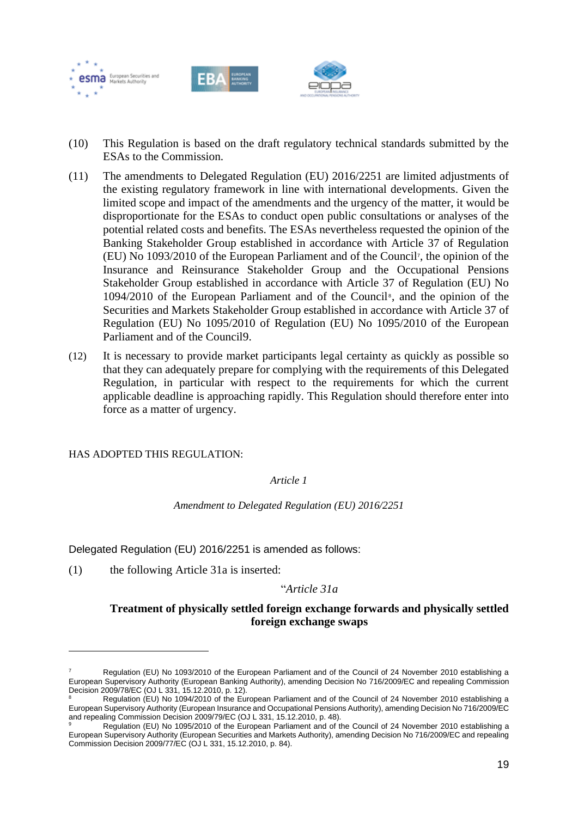

- (10) This Regulation is based on the draft regulatory technical standards submitted by the ESAs to the Commission.
- (11) The amendments to Delegated Regulation (EU) 2016/2251 are limited adjustments of the existing regulatory framework in line with international developments. Given the limited scope and impact of the amendments and the urgency of the matter, it would be disproportionate for the ESAs to conduct open public consultations or analyses of the potential related costs and benefits. The ESAs nevertheless requested the opinion of the Banking Stakeholder Group established in accordance with Article 37 of Regulation (EU) No 1093/2010 of the European Parliament and of the Council<sup>7</sup> , the opinion of the Insurance and Reinsurance Stakeholder Group and the Occupational Pensions Stakeholder Group established in accordance with Article 37 of Regulation (EU) No 1094/2010 of the European Parliament and of the Council<sup>®</sup>, and the opinion of the Securities and Markets Stakeholder Group established in accordance with Article 37 of Regulation (EU) No 1095/2010 of Regulation (EU) No 1095/2010 of the European Parliament and of the Council9.
- (12) It is necessary to provide market participants legal certainty as quickly as possible so that they can adequately prepare for complying with the requirements of this Delegated Regulation, in particular with respect to the requirements for which the current applicable deadline is approaching rapidly. This Regulation should therefore enter into force as a matter of urgency.

HAS ADOPTED THIS REGULATION:

*Article 1* 

*Amendment to Delegated Regulation (EU) 2016/2251*

Delegated Regulation (EU) 2016/2251 is amended as follows:

(1) the following Article 31a is inserted:

### "*Article 31a*

### **Treatment of physically settled foreign exchange forwards and physically settled foreign exchange swaps**

Regulation (EU) No 1093/2010 of the European Parliament and of the Council of 24 November 2010 establishing a European Supervisory Authority (European Banking Authority), amending Decision No 716/2009/EC and repealing Commission Decision 2009/78/EC (OJ L 331, 15.12.2010, p. 12).

Regulation (EU) No 1094/2010 of the European Parliament and of the Council of 24 November 2010 establishing a European Supervisory Authority (European Insurance and Occupational Pensions Authority), amending Decision No 716/2009/EC and repealing Commission Decision 2009/79/EC (OJ L 331, 15.12.2010, p. 48).

Regulation (EU) No 1095/2010 of the European Parliament and of the Council of 24 November 2010 establishing a European Supervisory Authority (European Securities and Markets Authority), amending Decision No 716/2009/EC and repealing Commission Decision 2009/77/EC (OJ L 331, 15.12.2010, p. 84).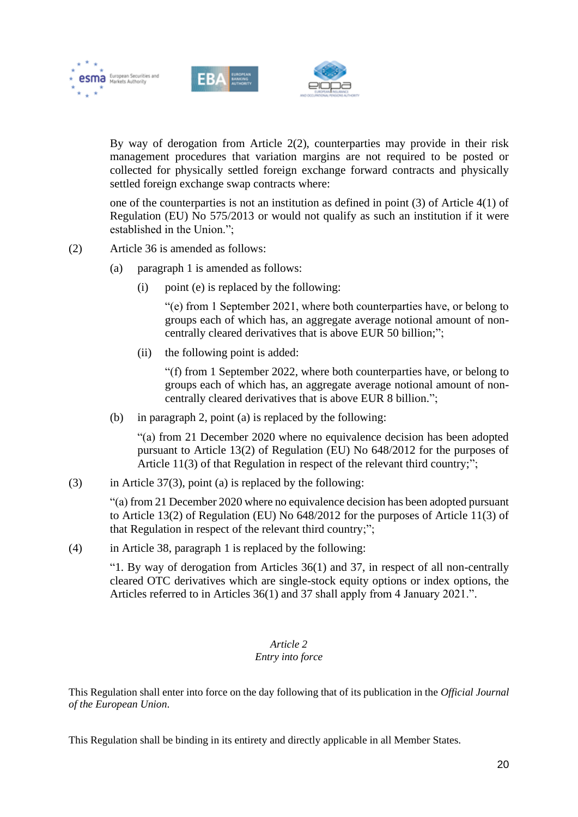

By way of derogation from Article 2(2), counterparties may provide in their risk management procedures that variation margins are not required to be posted or collected for physically settled foreign exchange forward contracts and physically settled foreign exchange swap contracts where:

one of the counterparties is not an institution as defined in point (3) of Article 4(1) of Regulation (EU) No 575/2013 or would not qualify as such an institution if it were established in the Union.";

- (2) Article 36 is amended as follows:
	- (a) paragraph 1 is amended as follows:
		- (i) point (e) is replaced by the following:

"(e) from 1 September 2021, where both counterparties have, or belong to groups each of which has, an aggregate average notional amount of noncentrally cleared derivatives that is above EUR 50 billion;";

(ii) the following point is added:

"(f) from 1 September 2022, where both counterparties have, or belong to groups each of which has, an aggregate average notional amount of noncentrally cleared derivatives that is above EUR 8 billion.";

(b) in paragraph 2, point (a) is replaced by the following:

"(a) from 21 December 2020 where no equivalence decision has been adopted pursuant to Article 13(2) of Regulation (EU) No 648/2012 for the purposes of Article 11(3) of that Regulation in respect of the relevant third country;";

(3) in Article  $37(3)$ , point (a) is replaced by the following:

"(a) from 21 December 2020 where no equivalence decision has been adopted pursuant to Article 13(2) of Regulation (EU) No 648/2012 for the purposes of Article 11(3) of that Regulation in respect of the relevant third country;";

(4) in Article 38, paragraph 1 is replaced by the following:

"1. By way of derogation from Articles 36(1) and 37, in respect of all non-centrally cleared OTC derivatives which are single-stock equity options or index options, the Articles referred to in Articles 36(1) and 37 shall apply from 4 January 2021.".

### *Article 2 Entry into force*

This Regulation shall enter into force on the day following that of its publication in the *Official Journal of the European Union*.

This Regulation shall be binding in its entirety and directly applicable in all Member States.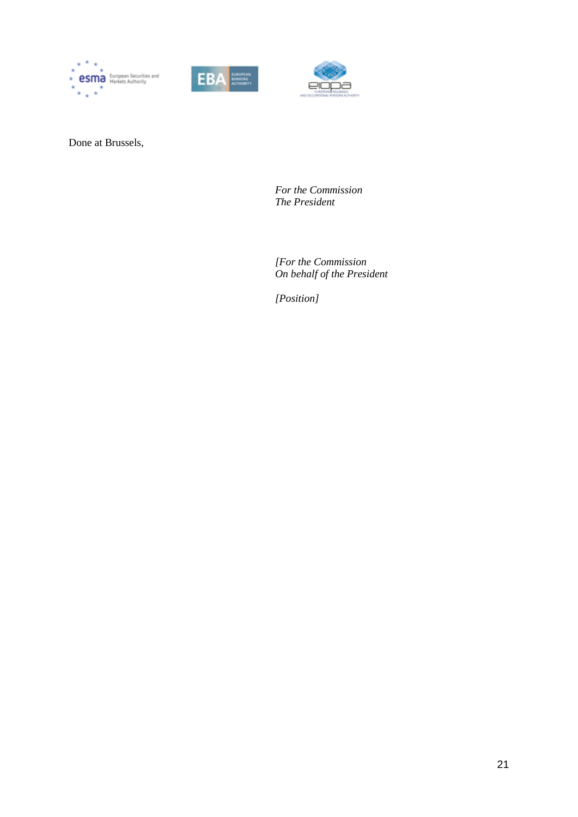





Done at Brussels,

*For the Commission The President*

*[For the Commission On behalf of the President*

*[Position]*